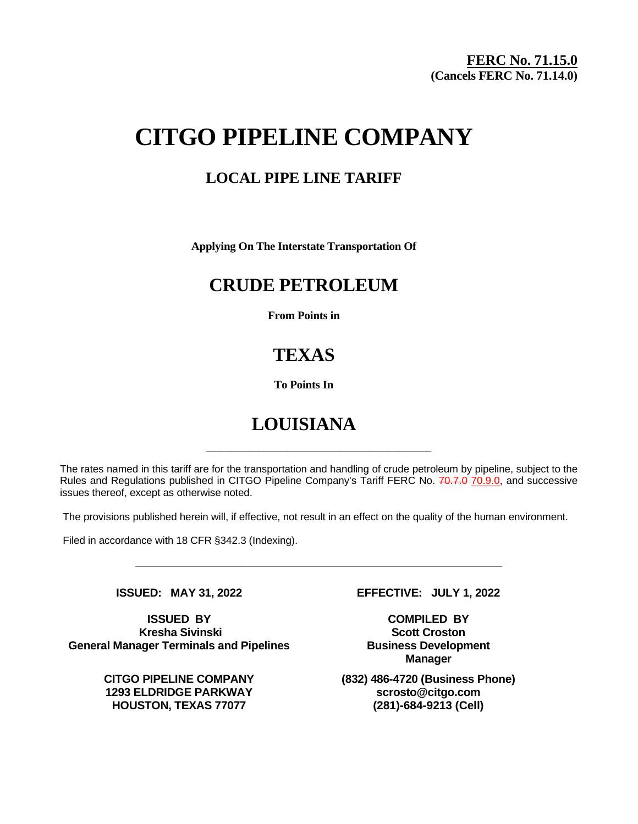# **CITGO PIPELINE COMPANY**

### **LOCAL PIPE LINE TARIFF**

**Applying On The Interstate Transportation Of**

### **CRUDE PETROLEUM**

**From Points in**

## **TEXAS**

**To Points In**

# **LOUISIANA**

The rates named in this tariff are for the transportation and handling of crude petroleum by pipeline, subject to the Rules and Regulations published in CITGO Pipeline Company's Tariff FERC No. 70.7.0 70.9.0, and successive issues thereof, except as otherwise noted.

**\_\_\_\_\_\_\_\_\_\_\_\_\_\_\_\_\_\_\_\_\_\_\_\_\_\_\_\_\_\_\_\_\_\_\_\_\_\_\_\_\_\_\_\_\_\_\_**

The provisions published herein will, if effective, not result in an effect on the quality of the human environment.

**\_\_\_\_\_\_\_\_\_\_\_\_\_\_\_\_\_\_\_\_\_\_\_\_\_\_\_\_\_\_\_\_\_\_\_\_\_\_\_\_\_\_\_\_\_\_\_\_\_\_\_\_\_\_\_\_\_\_\_\_\_\_\_\_\_\_\_\_\_\_\_\_\_\_\_\_\_\_\_\_**

Filed in accordance with 18 CFR §342.3 (Indexing).

**ISSUED BY COMPILED BY Kresha Sivinski Scott Croston General Manager Terminals and Pipelines Business Development**

**1293 ELDRIDGE PARKWAY scrosto@citgo.com HOUSTON, TEXAS 77077 (281)-684-9213 (Cell)**

**ISSUED: MAY 31, 2022 EFFECTIVE: JULY 1, 2022**

**Manager**

**CITGO PIPELINE COMPANY (832) 486-4720 (Business Phone)**